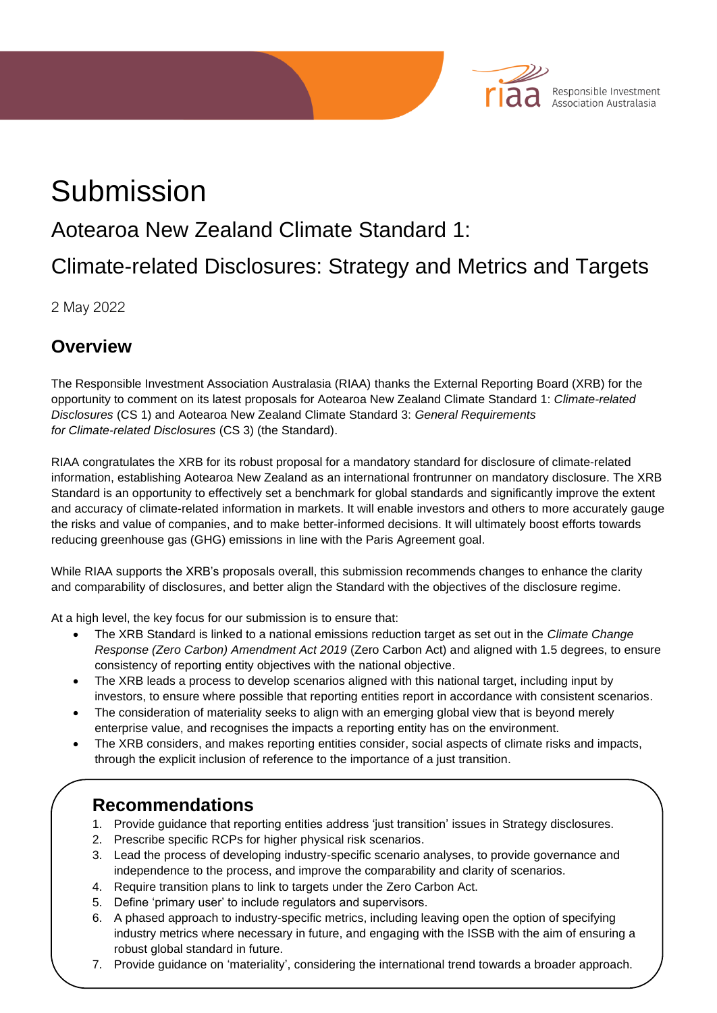# Submission

# Aotearoa New Zealand Climate Standard 1:

# Climate-related Disclosures: Strategy and Metrics and Targets

Responsible Investment<br>Association Australasia

2 May 2022

## **Overview**

The Responsible Investment Association Australasia (RIAA) thanks the External Reporting Board (XRB) for the opportunity to comment on its latest proposals for Aotearoa New Zealand Climate Standard 1: *Climate-related Disclosures* (CS 1) and Aotearoa New Zealand Climate Standard 3: *General Requirements for Climate-related Disclosures* (CS 3) (the Standard).

RIAA congratulates the XRB for its robust proposal for a mandatory standard for disclosure of climate-related information, establishing Aotearoa New Zealand as an international frontrunner on mandatory disclosure. The XRB Standard is an opportunity to effectively set a benchmark for global standards and significantly improve the extent and accuracy of climate-related information in markets. It will enable investors and others to more accurately gauge the risks and value of companies, and to make better-informed decisions. It will ultimately boost efforts towards reducing greenhouse gas (GHG) emissions in line with the Paris Agreement goal.

While RIAA supports the XRB's proposals overall, this submission recommends changes to enhance the clarity and comparability of disclosures, and better align the Standard with the objectives of the disclosure regime.

At a high level, the key focus for our submission is to ensure that:

- The XRB Standard is linked to a national emissions reduction target as set out in the *Climate Change Response (Zero Carbon) Amendment Act 2019* (Zero Carbon Act) and aligned with 1.5 degrees, to ensure consistency of reporting entity objectives with the national objective.
- The XRB leads a process to develop scenarios aligned with this national target, including input by investors, to ensure where possible that reporting entities report in accordance with consistent scenarios.
- The consideration of materiality seeks to align with an emerging global view that is beyond merely enterprise value, and recognises the impacts a reporting entity has on the environment.
- The XRB considers, and makes reporting entities consider, social aspects of climate risks and impacts, through the explicit inclusion of reference to the importance of a just transition.

### **Recommendations**

- 1. Provide guidance that reporting entities address 'just transition' issues in Strategy disclosures.
- 2. Prescribe specific RCPs for higher physical risk scenarios.
- 3. Lead the process of developing industry-specific scenario analyses, to provide governance and independence to the process, and improve the comparability and clarity of scenarios.
- **Response to XRB questions** 4. Require transition plans to link to targets under the Zero Carbon Act.
	- 5. Define 'primary user' to include regulators and supervisors.
	- 6. A phased approach to industry-specific metrics, including leaving open the option of specifying industry metrics where necessary in future, and engaging with the ISSB with the aim of ensuring a robust global standard in future.
	- 7. Provide guidance on 'materiality', considering the international trend towards a broader approach.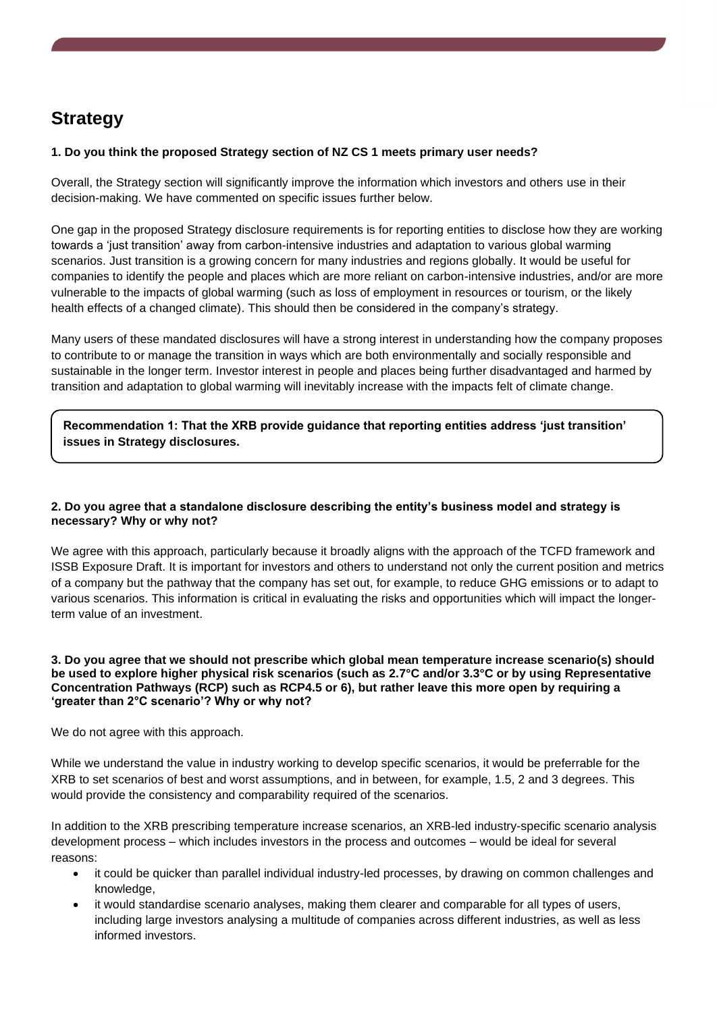# **Strategy**

#### **1. Do you think the proposed Strategy section of NZ CS 1 meets primary user needs?**

Overall, the Strategy section will significantly improve the information which investors and others use in their decision-making. We have commented on specific issues further below.

One gap in the proposed Strategy disclosure requirements is for reporting entities to disclose how they are working towards a 'just transition' away from carbon-intensive industries and adaptation to various global warming scenarios. Just transition is a growing concern for many industries and regions globally. It would be useful for companies to identify the people and places which are more reliant on carbon-intensive industries, and/or are more vulnerable to the impacts of global warming (such as loss of employment in resources or tourism, or the likely health effects of a changed climate). This should then be considered in the company's strategy.

Many users of these mandated disclosures will have a strong interest in understanding how the company proposes to contribute to or manage the transition in ways which are both environmentally and socially responsible and sustainable in the longer term. Investor interest in people and places being further disadvantaged and harmed by transition and adaptation to global warming will inevitably increase with the impacts felt of climate change.

#### **Recommendation 1: That the XRB provide guidance that reporting entities address 'just transition' issues in Strategy disclosures.**

#### **2. Do you agree that a standalone disclosure describing the entity's business model and strategy is necessary? Why or why not?**

We agree with this approach, particularly because it broadly aligns with the approach of the TCFD framework and ISSB Exposure Draft. It is important for investors and others to understand not only the current position and metrics of a company but the pathway that the company has set out, for example, to reduce GHG emissions or to adapt to various scenarios. This information is critical in evaluating the risks and opportunities which will impact the longerterm value of an investment.

#### **3. Do you agree that we should not prescribe which global mean temperature increase scenario(s) should be used to explore higher physical risk scenarios (such as 2.7°C and/or 3.3°C or by using Representative Concentration Pathways (RCP) such as RCP4.5 or 6), but rather leave this more open by requiring a 'greater than 2°C scenario'? Why or why not?**

We do not agree with this approach.

While we understand the value in industry working to develop specific scenarios, it would be preferrable for the XRB to set scenarios of best and worst assumptions, and in between, for example, 1.5, 2 and 3 degrees. This would provide the consistency and comparability required of the scenarios.

In addition to the XRB prescribing temperature increase scenarios, an XRB-led industry-specific scenario analysis development process – which includes investors in the process and outcomes – would be ideal for several reasons:

- it could be quicker than parallel individual industry-led processes, by drawing on common challenges and knowledge,
- it would standardise scenario analyses, making them clearer and comparable for all types of users, including large investors analysing a multitude of companies across different industries, as well as less informed investors.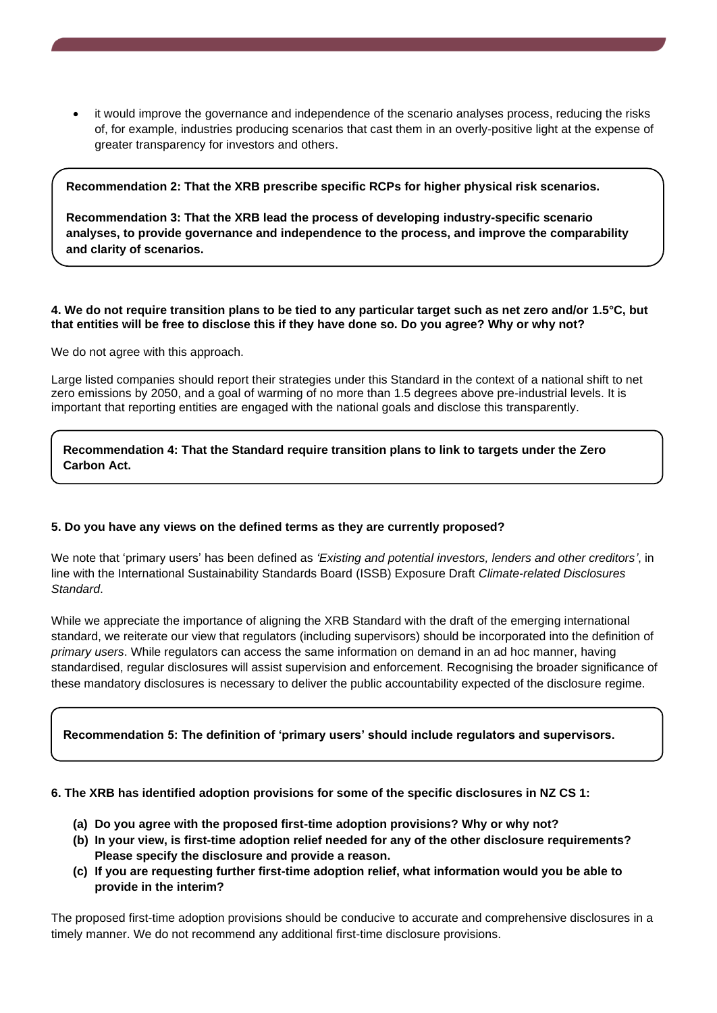• it would improve the governance and independence of the scenario analyses process, reducing the risks of, for example, industries producing scenarios that cast them in an overly-positive light at the expense of greater transparency for investors and others.

#### **Recommendation 2: That the XRB prescribe specific RCPs for higher physical risk scenarios.**

**Recommendation 3: That the XRB lead the process of developing industry-specific scenario analyses, to provide governance and independence to the process, and improve the comparability and clarity of scenarios.**

#### **4. We do not require transition plans to be tied to any particular target such as net zero and/or 1.5°C, but that entities will be free to disclose this if they have done so. Do you agree? Why or why not?**

We do not agree with this approach.

Large listed companies should report their strategies under this Standard in the context of a national shift to net zero emissions by 2050, and a goal of warming of no more than 1.5 degrees above pre-industrial levels. It is important that reporting entities are engaged with the national goals and disclose this transparently.

**Recommendation 4: That the Standard require transition plans to link to targets under the Zero Carbon Act.**

#### **5. Do you have any views on the defined terms as they are currently proposed?**

We note that 'primary users' has been defined as *'Existing and potential investors, lenders and other creditors'*, in line with the International Sustainability Standards Board (ISSB) Exposure Draft *Climate-related Disclosures Standard*.

While we appreciate the importance of aligning the XRB Standard with the draft of the emerging international standard, we reiterate our view that regulators (including supervisors) should be incorporated into the definition of *primary users*. While regulators can access the same information on demand in an ad hoc manner, having standardised, regular disclosures will assist supervision and enforcement. Recognising the broader significance of these mandatory disclosures is necessary to deliver the public accountability expected of the disclosure regime.

#### **Recommendation 5: The definition of 'primary users' should include regulators and supervisors.**

#### **6. The XRB has identified adoption provisions for some of the specific disclosures in NZ CS 1:**

- **(a) Do you agree with the proposed first-time adoption provisions? Why or why not?**
- **(b) In your view, is first-time adoption relief needed for any of the other disclosure requirements? Please specify the disclosure and provide a reason.**
- **(c) If you are requesting further first-time adoption relief, what information would you be able to provide in the interim?**

The proposed first-time adoption provisions should be conducive to accurate and comprehensive disclosures in a timely manner. We do not recommend any additional first-time disclosure provisions.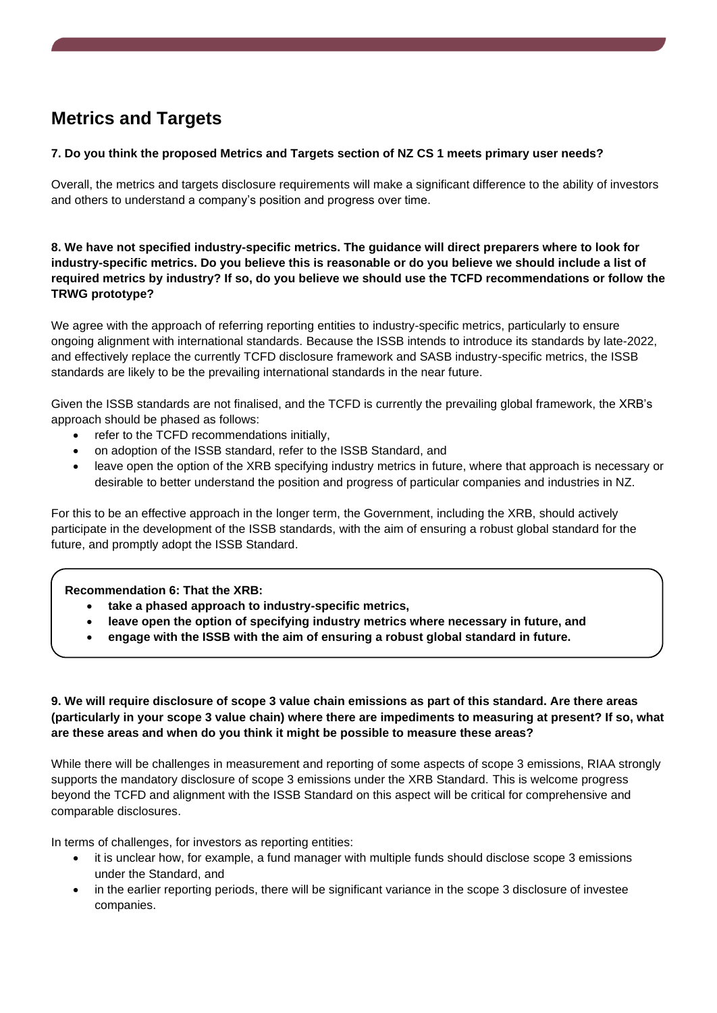# **Metrics and Targets**

#### **7. Do you think the proposed Metrics and Targets section of NZ CS 1 meets primary user needs?**

Overall, the metrics and targets disclosure requirements will make a significant difference to the ability of investors and others to understand a company's position and progress over time.

#### **8. We have not specified industry-specific metrics. The guidance will direct preparers where to look for industry-specific metrics. Do you believe this is reasonable or do you believe we should include a list of required metrics by industry? If so, do you believe we should use the TCFD recommendations or follow the TRWG prototype?**

We agree with the approach of referring reporting entities to industry-specific metrics, particularly to ensure ongoing alignment with international standards. Because the ISSB intends to introduce its standards by late-2022, and effectively replace the currently TCFD disclosure framework and SASB industry-specific metrics, the ISSB standards are likely to be the prevailing international standards in the near future.

Given the ISSB standards are not finalised, and the TCFD is currently the prevailing global framework, the XRB's approach should be phased as follows:

- refer to the TCFD recommendations initially,
- on adoption of the ISSB standard, refer to the ISSB Standard, and
- leave open the option of the XRB specifying industry metrics in future, where that approach is necessary or desirable to better understand the position and progress of particular companies and industries in NZ.

For this to be an effective approach in the longer term, the Government, including the XRB, should actively participate in the development of the ISSB standards, with the aim of ensuring a robust global standard for the future, and promptly adopt the ISSB Standard.

#### **Recommendation 6: That the XRB:**

- **take a phased approach to industry-specific metrics,**
- **leave open the option of specifying industry metrics where necessary in future, and**
- **engage with the ISSB with the aim of ensuring a robust global standard in future.**

#### **9. We will require disclosure of scope 3 value chain emissions as part of this standard. Are there areas (particularly in your scope 3 value chain) where there are impediments to measuring at present? If so, what are these areas and when do you think it might be possible to measure these areas?**

While there will be challenges in measurement and reporting of some aspects of scope 3 emissions, RIAA strongly supports the mandatory disclosure of scope 3 emissions under the XRB Standard. This is welcome progress beyond the TCFD and alignment with the ISSB Standard on this aspect will be critical for comprehensive and comparable disclosures.

In terms of challenges, for investors as reporting entities:

- it is unclear how, for example, a fund manager with multiple funds should disclose scope 3 emissions under the Standard, and
- in the earlier reporting periods, there will be significant variance in the scope 3 disclosure of investee companies.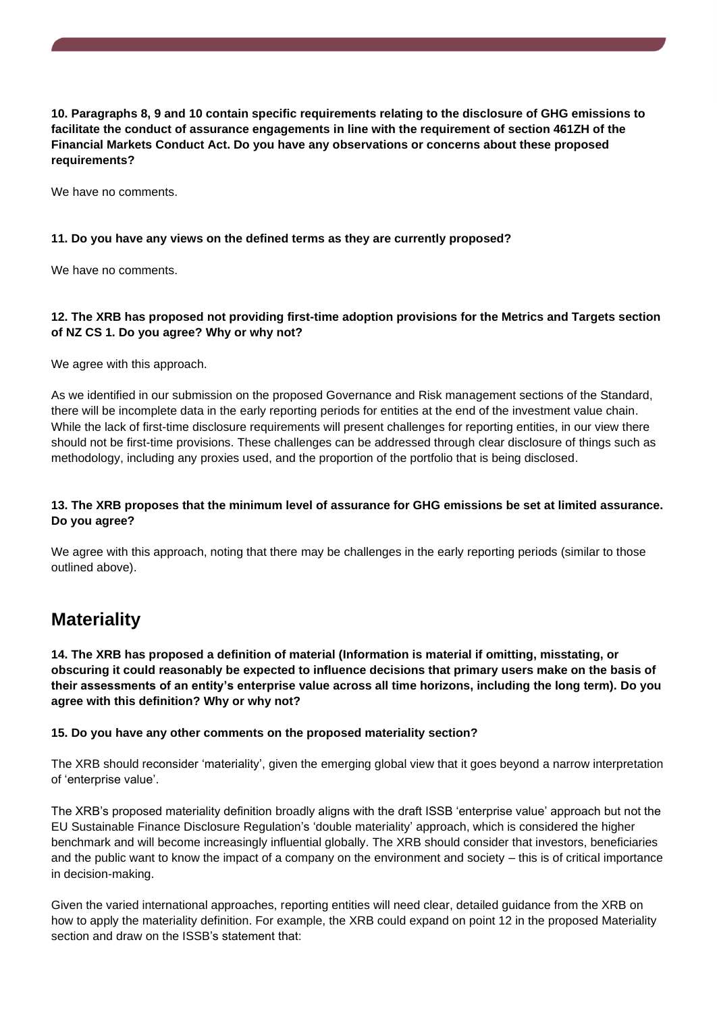**10. Paragraphs 8, 9 and 10 contain specific requirements relating to the disclosure of GHG emissions to facilitate the conduct of assurance engagements in line with the requirement of section 461ZH of the Financial Markets Conduct Act. Do you have any observations or concerns about these proposed requirements?** 

We have no comments.

#### **11. Do you have any views on the defined terms as they are currently proposed?**

We have no comments.

#### **12. The XRB has proposed not providing first-time adoption provisions for the Metrics and Targets section of NZ CS 1. Do you agree? Why or why not?**

We agree with this approach.

As we identified in our submission on the proposed Governance and Risk management sections of the Standard, there will be incomplete data in the early reporting periods for entities at the end of the investment value chain. While the lack of first-time disclosure requirements will present challenges for reporting entities, in our view there should not be first-time provisions. These challenges can be addressed through clear disclosure of things such as methodology, including any proxies used, and the proportion of the portfolio that is being disclosed.

#### **13. The XRB proposes that the minimum level of assurance for GHG emissions be set at limited assurance. Do you agree?**

We agree with this approach, noting that there may be challenges in the early reporting periods (similar to those outlined above).

### **Materiality**

**14. The XRB has proposed a definition of material (Information is material if omitting, misstating, or obscuring it could reasonably be expected to influence decisions that primary users make on the basis of their assessments of an entity's enterprise value across all time horizons, including the long term). Do you agree with this definition? Why or why not?** 

#### **15. Do you have any other comments on the proposed materiality section?**

The XRB should reconsider 'materiality', given the emerging global view that it goes beyond a narrow interpretation of 'enterprise value'.

The XRB's proposed materiality definition broadly aligns with the draft ISSB 'enterprise value' approach but not the EU Sustainable Finance Disclosure Regulation's 'double materiality' approach, which is considered the higher benchmark and will become increasingly influential globally. The XRB should consider that investors, beneficiaries and the public want to know the impact of a company on the environment and society – this is of critical importance in decision-making.

Given the varied international approaches, reporting entities will need clear, detailed guidance from the XRB on how to apply the materiality definition. For example, the XRB could expand on point 12 in the proposed Materiality section and draw on the ISSB's statement that: